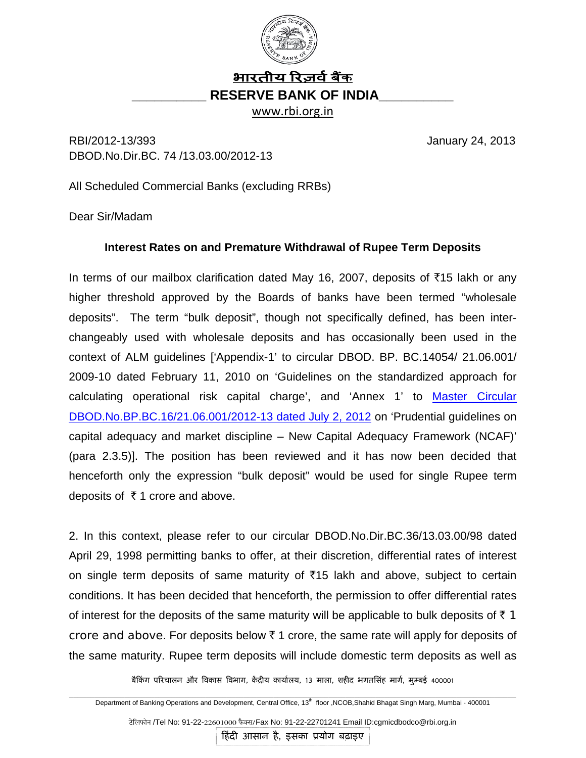

## भारतीय रिज़र्व बैंक **\_\_\_\_\_\_\_\_\_\_ RESERVE BANK OF INDIA\_\_\_\_\_\_\_\_\_\_**

www.rbi.org.in

RBI/2012-13/393 January 24, 2013 DBOD.No.Dir.BC. 74 /13.03.00/2012-13

All Scheduled Commercial Banks (excluding RRBs)

Dear Sir/Madam

## **Interest Rates on and Premature Withdrawal of Rupee Term Deposits**

In terms of our mailbox clarification dated May 16, 2007, deposits of  $\bar{\tau}$ 15 lakh or any higher threshold approved by the Boards of banks have been termed "wholesale deposits". The term "bulk deposit", though not specifically defined, has been interchangeably used with wholesale deposits and has occasionally been used in the context of ALM guidelines ['Appendix-1' to circular DBOD. BP. BC.14054/ 21.06.001/ 2009-10 dated February 11, 2010 on 'Guidelines on the standardized approach for calculating operational risk capital charge', and 'Annex 1' to [Master Circular](http://rbi.org.in/scripts/BS_ViewMasCirculardetails.aspx?Id=7413&Mode=0)  [DBOD.No.BP.BC.16/21.06.001/2012-13 dated July 2, 2012](http://rbi.org.in/scripts/BS_ViewMasCirculardetails.aspx?Id=7413&Mode=0) on 'Prudential guidelines on capital adequacy and market discipline – New Capital Adequacy Framework (NCAF)' (para 2.3.5)]. The position has been reviewed and it has now been decided that henceforth only the expression "bulk deposit" would be used for single Rupee term deposits of  $\bar{\tau}$  1 crore and above.

2. In this context, please refer to our circular DBOD.No.Dir.BC.36/13.03.00/98 dated April 29, 1998 permitting banks to offer, at their discretion, differential rates of interest on single term deposits of same maturity of  $\bar{x}$ 15 lakh and above, subject to certain conditions. It has been decided that henceforth, the permission to offer differential rates of interest for the deposits of the same maturity will be applicable to bulk deposits of  $\bar{\tau}$  1 crore and above. For deposits below  $\bar{\tau}$  1 crore, the same rate will apply for deposits of the same maturity. Rupee term deposits will include domestic term deposits as well as

बैकिंग परिचालन और विकास विभाग, केंद्रीय कार्यालय, 13 माला, शहीद भगतसिंह मार्ग, मुम्बई 400001

\_\_\_\_\_\_\_\_\_\_\_\_\_\_\_\_\_\_\_\_\_\_\_\_\_\_\_\_\_\_\_\_\_\_\_\_\_\_\_\_\_\_\_\_\_\_\_\_\_\_\_\_\_\_\_\_\_\_\_\_\_\_\_\_\_\_\_\_\_\_\_\_\_\_\_\_\_\_\_\_\_\_\_\_\_\_\_\_\_\_\_\_\_\_\_\_\_\_\_\_\_\_\_\_\_ Department of Banking Operations and Development, Central Office, 13<sup>th</sup> floor ,NCOB, Shahid Bhagat Singh Marg, Mumbai - 400001

टेलिफोन /Tel No: 91-22-22601000 फैक्स/Fax No: 91-22-22701241 Email ID:cgmicdbodco@rbi.org.in

हिंदी आसान है, इसका प्रयोग बढ़ाइए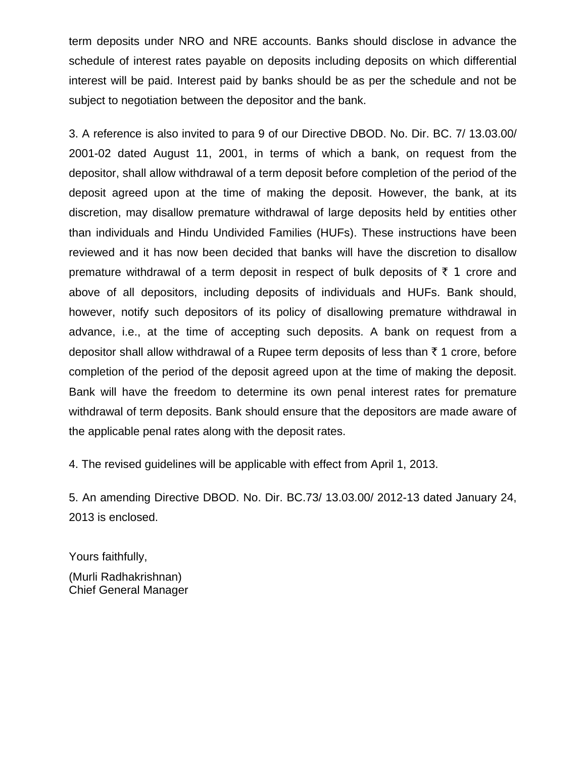term deposits under NRO and NRE accounts. Banks should disclose in advance the schedule of interest rates payable on deposits including deposits on which differential interest will be paid. Interest paid by banks should be as per the schedule and not be subject to negotiation between the depositor and the bank.

3. A reference is also invited to para 9 of our Directive DBOD. No. Dir. BC. 7/ 13.03.00/ 2001-02 dated August 11, 2001, in terms of which a bank, on request from the depositor, shall allow withdrawal of a term deposit before completion of the period of the deposit agreed upon at the time of making the deposit. However, the bank, at its discretion, may disallow premature withdrawal of large deposits held by entities other than individuals and Hindu Undivided Families (HUFs). These instructions have been reviewed and it has now been decided that banks will have the discretion to disallow premature withdrawal of a term deposit in respect of bulk deposits of  $\bar{\tau}$  1 crore and above of all depositors, including deposits of individuals and HUFs. Bank should, however, notify such depositors of its policy of disallowing premature withdrawal in advance, i.e., at the time of accepting such deposits. A bank on request from a depositor shall allow withdrawal of a Rupee term deposits of less than  $\bar{\tau}$  1 crore, before completion of the period of the deposit agreed upon at the time of making the deposit. Bank will have the freedom to determine its own penal interest rates for premature withdrawal of term deposits. Bank should ensure that the depositors are made aware of the applicable penal rates along with the deposit rates.

4. The revised guidelines will be applicable with effect from April 1, 2013.

5. An amending Directive DBOD. No. Dir. BC.73/ 13.03.00/ 2012-13 dated January 24, 2013 is enclosed.

Yours faithfully, (Murli Radhakrishnan) Chief General Manager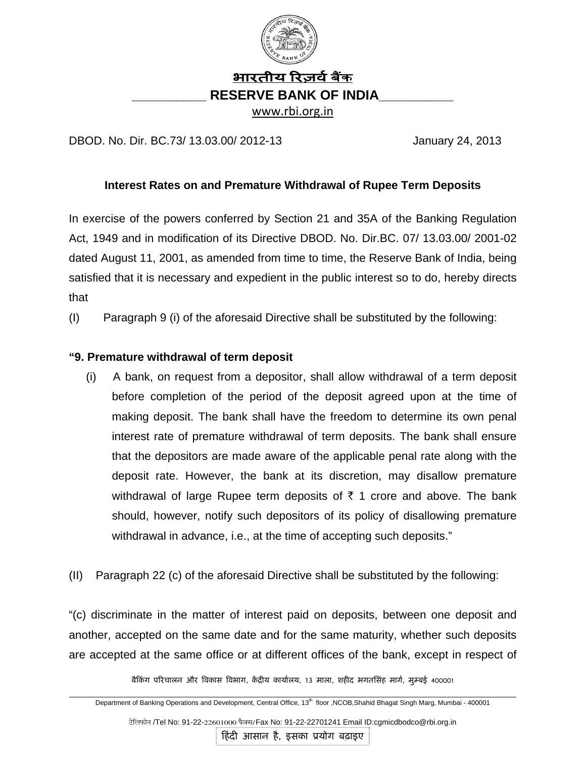

DBOD. No. Dir. BC.73/ 13.03.00/ 2012-13 January 24, 2013

## **Interest Rates on and Premature Withdrawal of Rupee Term Deposits**

In exercise of the powers conferred by Section 21 and 35A of the Banking Regulation Act, 1949 and in modification of its Directive DBOD. No. Dir.BC. 07/ 13.03.00/ 2001-02 dated August 11, 2001, as amended from time to time, the Reserve Bank of India, being satisfied that it is necessary and expedient in the public interest so to do, hereby directs that

(I) Paragraph 9 (i) of the aforesaid Directive shall be substituted by the following:

## **"9. Premature withdrawal of term deposit**

- (i) A bank, on request from a depositor, shall allow withdrawal of a term deposit before completion of the period of the deposit agreed upon at the time of making deposit. The bank shall have the freedom to determine its own penal interest rate of premature withdrawal of term deposits. The bank shall ensure that the depositors are made aware of the applicable penal rate along with the deposit rate. However, the bank at its discretion, may disallow premature withdrawal of large Rupee term deposits of  $\bar{\tau}$  1 crore and above. The bank should, however, notify such depositors of its policy of disallowing premature withdrawal in advance, i.e., at the time of accepting such deposits."
- (II) Paragraph 22 (c) of the aforesaid Directive shall be substituted by the following:

"(c) discriminate in the matter of interest paid on deposits, between one deposit and another, accepted on the same date and for the same maturity, whether such deposits are accepted at the same office or at different offices of the bank, except in respect of

बैकिंग परिचालन और विकास विभाग, केंद्रीय कार्यालय, 13 माला, शहीद भगतसिंह मार्ग, मुम्बई 400001

\_\_\_\_\_\_\_\_\_\_\_\_\_\_\_\_\_\_\_\_\_\_\_\_\_\_\_\_\_\_\_\_\_\_\_\_\_\_\_\_\_\_\_\_\_\_\_\_\_\_\_\_\_\_\_\_\_\_\_\_\_\_\_\_\_\_\_\_\_\_\_\_\_\_\_\_\_\_\_\_\_\_\_\_\_\_\_\_\_\_\_\_\_\_\_\_\_\_\_\_\_\_\_\_\_ Department of Banking Operations and Development, Central Office, 13<sup>th</sup> floor ,NCOB, Shahid Bhagat Singh Marg, Mumbai - 400001

टेलिफोन /Tel No: 91-22-22601000 फैक्स/Fax No: 91-22-22701241 Email ID:cgmicdbodco@rbi.org.in